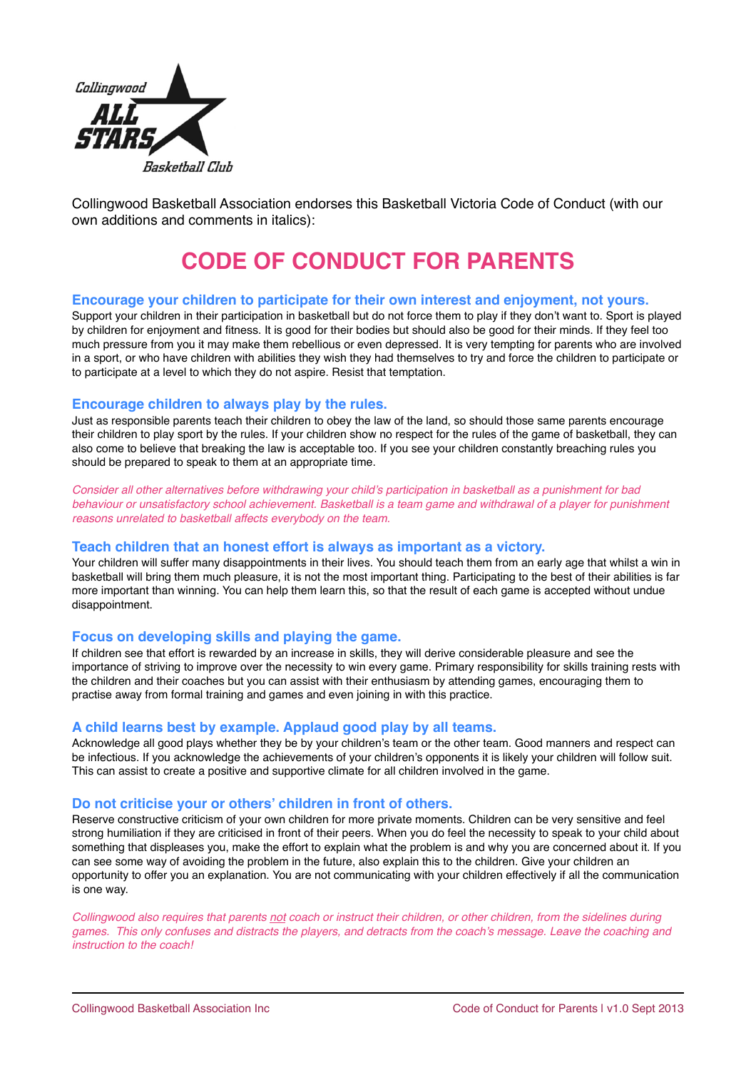

Collingwood Basketball Association endorses this Basketball Victoria Code of Conduct (with our own additions and comments in italics):

# **CODE OF CONDUCT FOR PARENTS**

# **Encourage your children to participate for their own interest and enjoyment, not yours.**

Support your children in their participation in basketball but do not force them to play if they don't want to. Sport is played by children for enjoyment and fitness. It is good for their bodies but should also be good for their minds. If they feel too much pressure from you it may make them rebellious or even depressed. It is very tempting for parents who are involved in a sport, or who have children with abilities they wish they had themselves to try and force the children to participate or to participate at a level to which they do not aspire. Resist that temptation.

#### **Encourage children to always play by the rules.**

Just as responsible parents teach their children to obey the law of the land, so should those same parents encourage their children to play sport by the rules. If your children show no respect for the rules of the game of basketball, they can also come to believe that breaking the law is acceptable too. If you see your children constantly breaching rules you should be prepared to speak to them at an appropriate time.

*Consider all other alternatives before withdrawing your child's participation in basketball as a punishment for bad behaviour or unsatisfactory school achievement. Basketball is a team game and withdrawal of a player for punishment reasons unrelated to basketball affects everybody on the team.* 

#### **Teach children that an honest effort is always as important as a victory.**

Your children will suffer many disappointments in their lives. You should teach them from an early age that whilst a win in basketball will bring them much pleasure, it is not the most important thing. Participating to the best of their abilities is far more important than winning. You can help them learn this, so that the result of each game is accepted without undue disappointment.

#### **Focus on developing skills and playing the game.**

If children see that effort is rewarded by an increase in skills, they will derive considerable pleasure and see the importance of striving to improve over the necessity to win every game. Primary responsibility for skills training rests with the children and their coaches but you can assist with their enthusiasm by attending games, encouraging them to practise away from formal training and games and even joining in with this practice.

# **A child learns best by example. Applaud good play by all teams.**

Acknowledge all good plays whether they be by your children's team or the other team. Good manners and respect can be infectious. If you acknowledge the achievements of your children's opponents it is likely your children will follow suit. This can assist to create a positive and supportive climate for all children involved in the game.

# **Do not criticise your or others' children in front of others.**

Reserve constructive criticism of your own children for more private moments. Children can be very sensitive and feel strong humiliation if they are criticised in front of their peers. When you do feel the necessity to speak to your child about something that displeases you, make the effort to explain what the problem is and why you are concerned about it. If you can see some way of avoiding the problem in the future, also explain this to the children. Give your children an opportunity to offer you an explanation. You are not communicating with your children effectively if all the communication is one way.

*Collingwood also requires that parents not coach or instruct their children, or other children, from the sidelines during games. This only confuses and distracts the players, and detracts from the coach's message. Leave the coaching and instruction to the coach!*